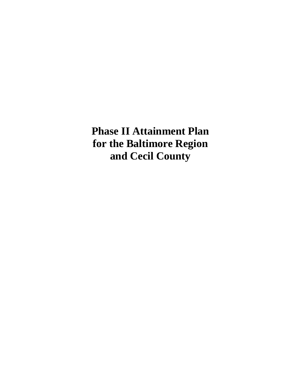**Phase II Attainment Plan for the Baltimore Region and Cecil County**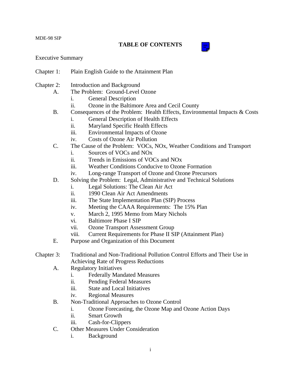## **TABLE OF CONTENTS**



## Executive Summary

- Chapter 1: Plain English Guide to the Attainment Plan
- Chapter 2: Introduction and Background
	- A. The Problem: Ground-Level Ozone
		- i. General Description
		- ii. Ozone in the Baltimore Area and Cecil County
	- B. Consequences of the Problem: Health Effects, Environmental Impacts & Costs
		- i. General Description of Health Effects
		- ii. Maryland Specific Health Effects
		- iii. Environmental Impacts of Ozone
		- iv. Costs of Ozone Air Pollution
	- C. The Cause of the Problem: VOCs, NOx, Weather Conditions and Transport
		- i. Sources of VOCs and NOx
		- ii. Trends in Emissions of VOCs and NOx
		- iii. Weather Conditions Conducive to Ozone Formation
		- iv. Long-range Transport of Ozone and Ozone Precursors
	- D. Solving the Problem: Legal, Administrative and Technical Solutions
		- i. Legal Solutions: The Clean Air Act
		- ii. 1990 Clean Air Act Amendments
		- iii. The State Implementation Plan (SIP) Process
		- iv. Meeting the CAAA Requirements: The 15% Plan
		- v. March 2, 1995 Memo from Mary Nichols
		- vi. Baltimore Phase I SIP
		- vii. Ozone Transport Assessment Group
		- viii. Current Requirements for Phase II SIP (Attainment Plan)
	- E. Purpose and Organization of this Document
- Chapter 3: Traditional and Non-Traditional Pollution Control Efforts and Their Use in Achieving Rate of Progress Reductions
	- A. Regulatory Initiatives
		- i. Federally Mandated Measures
		- ii. Pending Federal Measures
		- iii. State and Local Initiatives
		- iv. Regional Measures
	- B. Non-Traditional Approaches to Ozone Control
		- i. Ozone Forecasting, the Ozone Map and Ozone Action Days
		- ii. Smart Growth
		- iii. Cash-for-Clippers
	- C. Other Measures Under Consideration
		- i. Background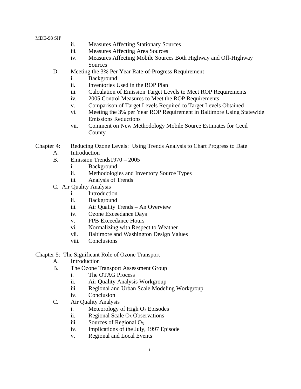- ii. Measures Affecting Stationary Sources
- iii. Measures Affecting Area Sources
- iv. Measures Affecting Mobile Sources Both Highway and Off-Highway Sources
- D. Meeting the 3% Per Year Rate-of-Progress Requirement
	- i. Background
	- ii. Inventories Used in the ROP Plan
	- iii. Calculation of Emission Target Levels to Meet ROP Requirements
	- iv. 2005 Control Measures to Meet the ROP Requirements
	- v. Comparison of Target Levels Required to Target Levels Obtained
	- vi. Meeting the 3% per Year ROP Requirement in Baltimore Using Statewide Emissions Reductions
	- vii. Comment on New Methodology Mobile Source Estimates for Cecil County
- Chapter 4: Reducing Ozone Levels: Using Trends Analysis to Chart Progress to Date
	- A. Introduction
	- B. Emission Trends1970 2005
		- i. Background
		- ii. Methodologies and Inventory Source Types
		- iii. Analysis of Trends
	- C. Air Quality Analysis
		- i. Introduction
		- ii. Background
		- iii. Air Quality Trends An Overview
		- iv. Ozone Exceedance Days
		- v. PPB Exceedance Hours
		- vi. Normalizing with Respect to Weather
		- vii. Baltimore and Washington Design Values
		- viii. Conclusions

Chapter 5: The Significant Role of Ozone Transport

- A. Introduction
- B. The Ozone Transport Assessment Group
	- i. The OTAG Process
	- ii. Air Quality Analysis Workgroup
	- iii. Regional and Urban Scale Modeling Workgroup
	- iv. Conclusion
- C. Air Quality Analysis
	- i. Meteorology of High  $O_3$  Episodes
	- ii. Regional Scale  $O_3$  Observations
	- iii. Sources of Regional  $O_3$
	- iv. Implications of the July, 1997 Episode
	- v. Regional and Local Events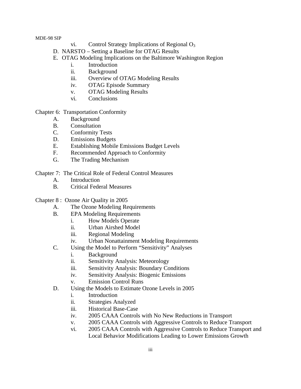- vi. Control Strategy Implications of Regional  $O_3$
- D. NARSTO Setting a Baseline for OTAG Results
- E. OTAG Modeling Implications on the Baltimore Washington Region
	- i. Introduction
	- ii. Background
	- iii. Overview of OTAG Modeling Results
	- iv. OTAG Episode Summary
	- v. OTAG Modeling Results
	- vi. Conclusions

Chapter 6: Transportation Conformity

- A. Background
- B. Consultation
- C. Conformity Tests
- D. Emissions Budgets
- E. Establishing Mobile Emissions Budget Levels
- F. Recommended Approach to Conformity
- G. The Trading Mechanism
- Chapter 7: The Critical Role of Federal Control Measures
	- A. Introduction
	- B. Critical Federal Measures
- Chapter 8 : Ozone Air Quality in 2005
	- A. The Ozone Modeling Requirements
	- B. EPA Modeling Requirements
		- i. How Models Operate
		- ii. Urban Airshed Model
		- iii. Regional Modeling
		- iv. Urban Nonattainment Modeling Requirements
	- C. Using the Model to Perform "Sensitivity" Analyses
		- i. Background
		- ii. Sensitivity Analysis: Meteorology
		- iii. Sensitivity Analysis: Boundary Conditions
		- iv. Sensitivity Analysis: Biogenic Emissions
		- v. Emission Control Runs
	- D. Using the Models to Estimate Ozone Levels in 2005
		- i. Introduction
		- ii. Strategies Analyzed
		- iii. Historical Base-Case
		- iv. 2005 CAAA Controls with No New Reductions in Transport
		- v. 2005 CAAA Controls with Aggressive Controls to Reduce Transport
		- vi. 2005 CAAA Controls with Aggressive Controls to Reduce Transport and Local Behavior Modifications Leading to Lower Emissions Growth